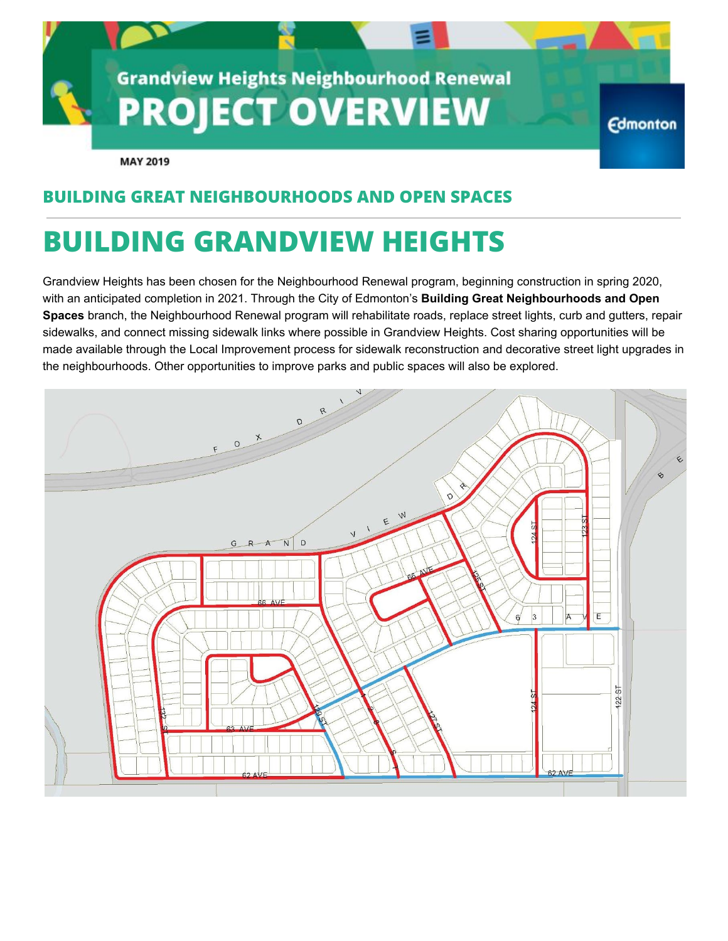

## **BUILDING GREAT NEIGHBOURHOODS AND OPEN SPACES**

# **BUILDING GRANDVIEW HEIGHTS**

Grandview Heights has been chosen for the Neighbourhood Renewal program, beginning construction in spring 2020, with an anticipated completion in 2021. Through the City of Edmonton's **Building Great Neighbourhoods and Open Spaces** branch, the Neighbourhood Renewal program will rehabilitate roads, replace street lights, curb and gutters, repair sidewalks, and connect missing sidewalk links where possible in Grandview Heights. Cost sharing opportunities will be made available through the Local Improvement process for sidewalk reconstruction and decorative street light upgrades in the neighbourhoods. Other opportunities to improve parks and public spaces will also be explored.